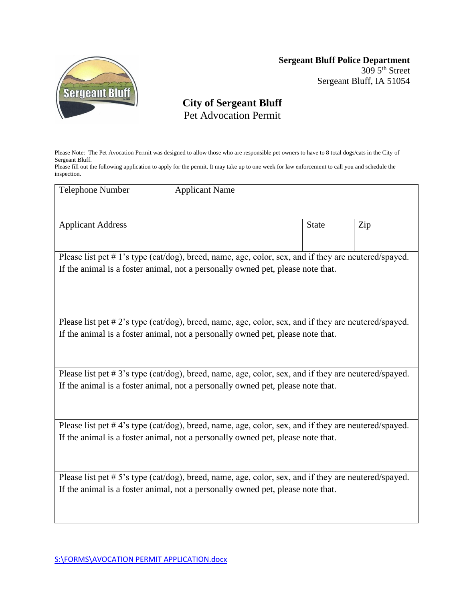

## **Sergeant Bluff Police Department**  $3095^{\text{th}}$  Street

Sergeant Bluff, IA 51054

## **City of Sergeant Bluff** Pet Advocation Permit

Please Note: The Pet Avocation Permit was designed to allow those who are responsible pet owners to have to 8 total dogs/cats in the City of Sergeant Bluff.

Please fill out the following application to apply for the permit. It may take up to one week for law enforcement to call you and schedule the inspection.

| <b>Telephone Number</b>                                                                              | <b>Applicant Name</b> |              |     |
|------------------------------------------------------------------------------------------------------|-----------------------|--------------|-----|
|                                                                                                      |                       |              |     |
| <b>Applicant Address</b>                                                                             |                       | <b>State</b> | Zip |
|                                                                                                      |                       |              |     |
| Please list pet #1's type (cat/dog), breed, name, age, color, sex, and if they are neutered/spayed.  |                       |              |     |
| If the animal is a foster animal, not a personally owned pet, please note that.                      |                       |              |     |
|                                                                                                      |                       |              |     |
|                                                                                                      |                       |              |     |
|                                                                                                      |                       |              |     |
| Please list pet #2's type (cat/dog), breed, name, age, color, sex, and if they are neutered/spayed.  |                       |              |     |
| If the animal is a foster animal, not a personally owned pet, please note that.                      |                       |              |     |
|                                                                                                      |                       |              |     |
|                                                                                                      |                       |              |     |
| Please list pet #3's type (cat/dog), breed, name, age, color, sex, and if they are neutered/spayed.  |                       |              |     |
| If the animal is a foster animal, not a personally owned pet, please note that.                      |                       |              |     |
|                                                                                                      |                       |              |     |
|                                                                                                      |                       |              |     |
| Please list pet #4's type (cat/dog), breed, name, age, color, sex, and if they are neutered/spayed.  |                       |              |     |
| If the animal is a foster animal, not a personally owned pet, please note that.                      |                       |              |     |
|                                                                                                      |                       |              |     |
|                                                                                                      |                       |              |     |
|                                                                                                      |                       |              |     |
| Please list pet # 5's type (cat/dog), breed, name, age, color, sex, and if they are neutered/spayed. |                       |              |     |
| If the animal is a foster animal, not a personally owned pet, please note that.                      |                       |              |     |
|                                                                                                      |                       |              |     |
|                                                                                                      |                       |              |     |